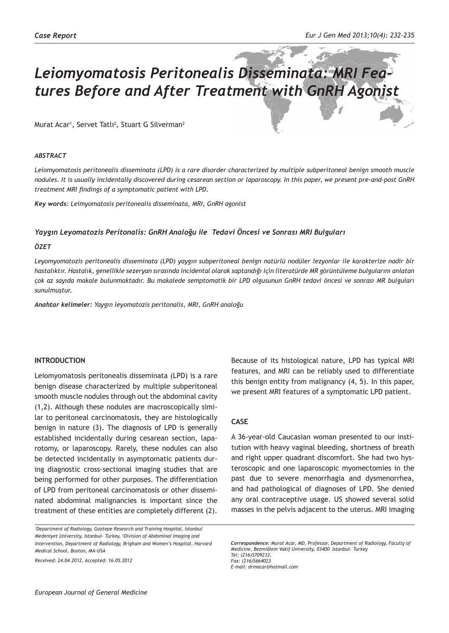# *Leiomyomatosis Peritonealis Disseminata: MRI Features Before and After Treatment with GnRH Agonist*

Murat Acar<sup>1</sup>, Servet Tatlı<sup>2</sup>, Stuart G Silverman<sup>2</sup>

#### *ABSTRACT*

*Leiomyomatosis peritonealis disseminata (LPD) is a rare disorder characterized by multiple subperitoneal benign smooth muscle nodules. It is usually incidentally discovered during cesarean section or laparoscopy. In this paper, we present pre-and-post GnRH treatment MRI findings of a symptomatic patient with LPD.*

*Key words: Leimyomatosis peritonealis disseminata, MRI, GnRH agonist* 

#### *Yaygın Leyomatozis Peritonalis: GnRH Analoğu ile Tedavi Öncesi ve Sonrası MRI Bulguları*

#### *ÖZET*

*Leyomyomatozis peritonealis disseminata (LPD) yaygın subperitoneal benign natürlü nodüler lezyonlar ile karakterize nadir bir hastalıktır. Hastalık, genellikle sezeryan sırasında incidental olarak saptandığı için literatürde MR görüntüleme bulgularını anlatan çok az sayıda makale bulunmaktadır. Bu makalede semptomatik bir LPD olgusunun GnRH tedavi öncesi ve sonrası MR bulguları sunulmuştur.*

*Anahtar kelimeler: Yaygın leyomatozis peritonalis, MRI, GnRH analoğu*

#### **INTRODUCTION**

Leiomyomatosis peritonealis disseminata (LPD) is a rare benign disease characterized by multiple subperitoneal smooth muscle nodules through out the abdominal cavity (1,2). Although these nodules are macroscopically similar to peritoneal carcinomatosis, they are histologically benign in nature (3). The diagnosis of LPD is generally established incidentally during cesarean section, laparotomy, or laparoscopy. Rarely, these nodules can also be detected incidentally in asymptomatic patients during diagnostic cross-sectional imaging studies that are being performed for other purposes. The differentiation of LPD from peritoneal carcinomatosis or other disseminated abdominal malignancies is important since the treatment of these entities are completely different (2).

*Received: 24.04.2012, Accepted: 16.05.2012*

Because of its histological nature, LPD has typical MRI features, and MRI can be reliably used to differentiate this benign entity from malignancy (4, 5). In this paper, we present MRI features of a symptomatic LPD patient.

### **CASE**

A 36-year-old Caucasian woman presented to our institution with heavy vaginal bleeding, shortness of breath and right upper quadrant discomfort. She had two hysteroscopic and one laparoscopic myomectomies in the past due to severe menorrhagia and dysmenorrhea, and had pathological of diagnoses of LPD. She denied any oral contraceptive usage. US showed several solid masses in the pelvis adjacent to the uterus. MRI imaging

*Correspondence: Murat Acar, MD, Professor, Department of Radiology, Faculty of Medicine, Bezmiâlem Vakif University, 03400 Istanbul- Turkey Tel: (216)5709233, Fax: (216)5664023 E-mail: drmacar@hotmail.com*

*<sup>1</sup> Department of Radiology, Goztepe Research and Training Hospital, Istanbul Medeniyet University, Istanbul- Turkey, <sup>2</sup> Division of Abdominal Imaging and Intervention, Department of Radiology, Brigham and Women's Hospital, Harvard Medical School, Boston, MA-USA*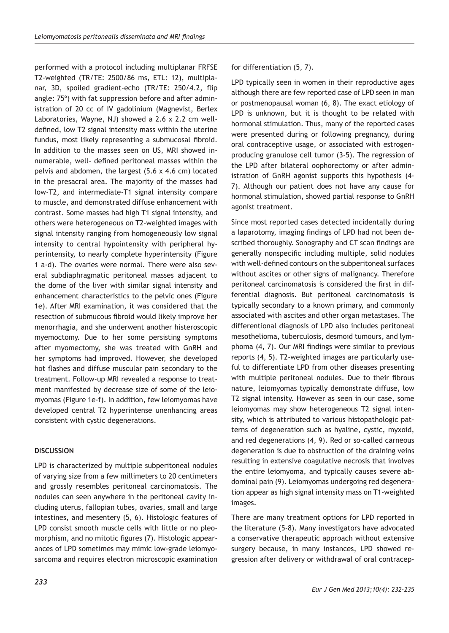performed with a protocol including multiplanar FRFSE T2-weighted (TR/TE: 2500/86 ms, ETL: 12), multiplanar, 3D, spoiled gradient-echo (TR/TE: 250/4.2, flip angle: 75º) with fat suppression before and after administration of 20 cc of IV gadolinium (Magnevist, Berlex Laboratories, Wayne, NJ) showed a 2.6 x 2.2 cm welldefined, low T2 signal intensity mass within the uterine fundus, most likely representing a submucosal fibroid. In addition to the masses seen on US, MRI showed innumerable, well- defined peritoneal masses within the pelvis and abdomen, the largest (5.6 x 4.6 cm) located in the presacral area. The majority of the masses had low-T2, and intermediate-T1 signal intensity compare to muscle, and demonstrated diffuse enhancement with contrast. Some masses had high T1 signal intensity, and others were heterogeneous on T2-weighted images with signal intensity ranging from homogeneously low signal intensity to central hypointensity with peripheral hyperintensity, to nearly complete hyperintensity (Figure 1 a-d). The ovaries were normal. There were also several subdiaphragmatic peritoneal masses adjacent to the dome of the liver with similar signal intensity and enhancement characteristics to the pelvic ones (Figure 1e). After MRI examination, it was considered that the resection of submucous fibroid would likely improve her menorrhagia, and she underwent another histeroscopic myemoctomy. Due to her some persisting symptoms after myomectomy, she was treated with GnRH and her symptoms had improved. However, she developed hot flashes and diffuse muscular pain secondary to the treatment. Follow-up MRI revealed a response to treatment manifested by decrease size of some of the leiomyomas (Figure 1e-f). In addition, few leiomyomas have developed central T2 hyperintense unenhancing areas consistent with cystic degenerations.

## **DISCUSSION**

LPD is characterized by multiple subperitoneal nodules of varying size from a few millimeters to 20 centimeters and grossly resembles peritoneal carcinomatosis. The nodules can seen anywhere in the peritoneal cavity including uterus, fallopian tubes, ovaries, small and large intestines, and mesentery (5, 6). Histologic features of LPD consist smooth muscle cells with little or no pleomorphism, and no mitotic figures (7). Histologic appearances of LPD sometimes may mimic low-grade leiomyosarcoma and requires electron microscopic examination

LPD typically seen in women in their reproductive ages although there are few reported case of LPD seen in man or postmenopausal woman (6, 8). The exact etiology of LPD is unknown, but it is thought to be related with hormonal stimulation. Thus, many of the reported cases were presented during or following pregnancy, during oral contraceptive usage, or associated with estrogenproducing granulose cell tumor (3-5). The regression of the LPD after bilateral oophorectomy or after administration of GnRH agonist supports this hypothesis (4- 7). Although our patient does not have any cause for hormonal stimulation, showed partial response to GnRH agonist treatment.

Since most reported cases detected incidentally during a laparotomy, imaging findings of LPD had not been described thoroughly. Sonography and CT scan findings are generally nonspecific including multiple, solid nodules with well-defined contours on the subperitoneal surfaces without ascites or other signs of malignancy. Therefore peritoneal carcinomatosis is considered the first in differential diagnosis. But peritoneal carcinomatosis is typically secondary to a known primary, and commonly associated with ascites and other organ metastases. The differentional diagnosis of LPD also includes peritoneal mesothelioma, tuberculosis, desmoid tumours, and lymphoma (4, 7). Our MRI findings were similar to previous reports (4, 5). T2-weighted images are particularly useful to differentiate LPD from other diseases presenting with multiple peritoneal nodules. Due to their fibrous nature, leiomyomas typically demonstrate diffuse, low T2 signal intensity. However as seen in our case, some leiomyomas may show heterogeneous T2 signal intensity, which is attributed to various histopathologic patterns of degeneration such as hyaline, cystic, myxoid, and red degenerations (4, 9). Red or so-called carneous degeneration is due to obstruction of the draining veins resulting in extensive coagulative necrosis that involves the entire leiomyoma, and typically causes severe abdominal pain (9). Leiomyomas undergoing red degeneration appear as high signal intensity mass on T1-weighted images.

There are many treatment options for LPD reported in the literature (5-8). Many investigators have advocated a conservative therapeutic approach without extensive surgery because, in many instances, LPD showed regression after delivery or withdrawal of oral contracep-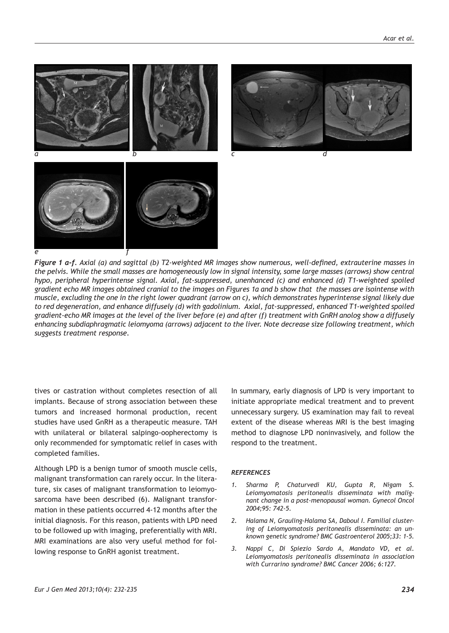

*Figure 1 a-f. Axial (a) and sagittal (b) T2-weighted MR images show numerous, well-defined, extrauterine masses in the pelvis. While the small masses are homogeneously low in signal intensity, some large masses (arrows) show central hypo, peripheral hyperintense signal. Axial, fat-suppressed, unenhanced (c) and enhanced (d) T1-weighted spoiled gradient echo MR images obtained cranial to the images on Figures 1a and b show that the masses are isointense with muscle, excluding the one in the right lower quadrant (arrow on c), which demonstrates hyperintense signal likely due to red degeneration, and enhance diffusely (d) with gadolinium. Axial, fat-suppressed, enhanced T1-weighted spoiled gradient-echo MR images at the level of the liver before (e) and after (f) treatment with GnRH anolog show a diffusely enhancing subdiaphragmatic leiomyoma (arrows) adjacent to the liver. Note decrease size following treatment, which suggests treatment response.*

tives or castration without completes resection of all implants. Because of strong association between these tumors and increased hormonal production, recent studies have used GnRH as a therapeutic measure. TAH with unilateral or bilateral salpingo-oopherectomy is only recommended for symptomatic relief in cases with completed families.

Although LPD is a benign tumor of smooth muscle cells, malignant transformation can rarely occur. In the literature, six cases of malignant transformation to leiomyosarcoma have been described (6). Malignant transformation in these patients occurred 4-12 months after the initial diagnosis. For this reason, patients with LPD need to be followed up with imaging, preferentially with MRI. MRI examinations are also very useful method for following response to GnRH agonist treatment.

In summary, early diagnosis of LPD is very important to initiate appropriate medical treatment and to prevent unnecessary surgery. US examination may fail to reveal extent of the disease whereas MRI is the best imaging method to diagnose LPD noninvasively, and follow the respond to the treatment.

#### *REFERENCES*

- *1. Sharma P, Chaturvedi KU, Gupta R, Nigam S. Leiomyomatosis peritonealis disseminata with malignant change in a post-menopausal woman. Gynecol Oncol 2004;95: 742-5.*
- *2. Halama N, Grauling-Halama SA, Daboul I. Familial clustering of Leiomyomatosis peritonealis disseminata: an unknown genetic syndrome? BMC Gastroenterol 2005;33: 1-5.*
- *3. Nappi C, Di Spiezio Sardo A, Mandato VD, et al. Leiomyomatosis peritonealis disseminata in association with Currarino syndrome? BMC Cancer 2006; 6:127.*